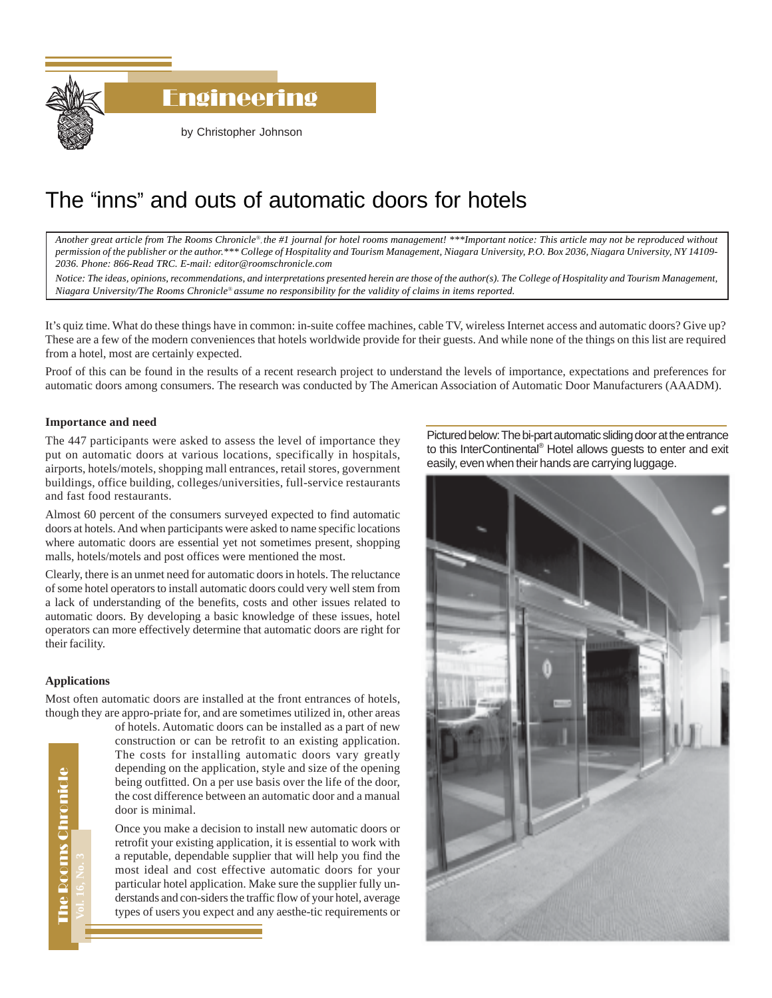

# The "inns" and outs of automatic doors for hotels

*Another great article from The Rooms Chronicle*®*, the #1 journal for hotel rooms management! \*\*\*Important notice: This article may not be reproduced without permission of the publisher or the author.\*\*\* College of Hospitality and Tourism Management, Niagara University, P.O. Box 2036, Niagara University, NY 14109- 2036. Phone: 866-Read TRC. E-mail: editor@roomschronicle.com*

*Notice: The ideas, opinions, recommendations, and interpretations presented herein are those of the author(s). The College of Hospitality and Tourism Management, Niagara University/The Rooms Chronicle*® *assume no responsibility for the validity of claims in items reported.*

It's quiz time. What do these things have in common: in-suite coffee machines, cable TV, wireless Internet access and automatic doors? Give up? These are a few of the modern conveniences that hotels worldwide provide for their guests. And while none of the things on this list are required from a hotel, most are certainly expected.

Proof of this can be found in the results of a recent research project to understand the levels of importance, expectations and preferences for automatic doors among consumers. The research was conducted by The American Association of Automatic Door Manufacturers (AAADM).

# **Importance and need**

The 447 participants were asked to assess the level of importance they put on automatic doors at various locations, specifically in hospitals, airports, hotels/motels, shopping mall entrances, retail stores, government buildings, office building, colleges/universities, full-service restaurants and fast food restaurants.

Almost 60 percent of the consumers surveyed expected to find automatic doors at hotels. And when participants were asked to name specific locations where automatic doors are essential yet not sometimes present, shopping malls, hotels/motels and post offices were mentioned the most.

Clearly, there is an unmet need for automatic doors in hotels. The reluctance of some hotel operators to install automatic doors could very well stem from a lack of understanding of the benefits, costs and other issues related to automatic doors. By developing a basic knowledge of these issues, hotel operators can more effectively determine that automatic doors are right for their facility.

## **Applications**

Most often automatic doors are installed at the front entrances of hotels, though they are appro-priate for, and are sometimes utilized in, other areas

of hotels. Automatic doors can be installed as a part of new construction or can be retrofit to an existing application. The costs for installing automatic doors vary greatly depending on the application, style and size of the opening being outfitted. On a per use basis over the life of the door, the cost difference between an automatic door and a manual door is minimal.

Once you make a decision to install new automatic doors or retrofit your existing application, it is essential to work with a reputable, dependable supplier that will help you find the most ideal and cost effective automatic doors for your particular hotel application. Make sure the supplier fully understands and con-siders the traffic flow of your hotel, average types of users you expect and any aesthe-tic requirements or Pictured below: The bi-part automatic sliding door at the entrance to this InterContinental<sup>®</sup> Hotel allows guests to enter and exit easily, even when their hands are carrying luggage.



The Rooms Chronicle The Rooms Chronicle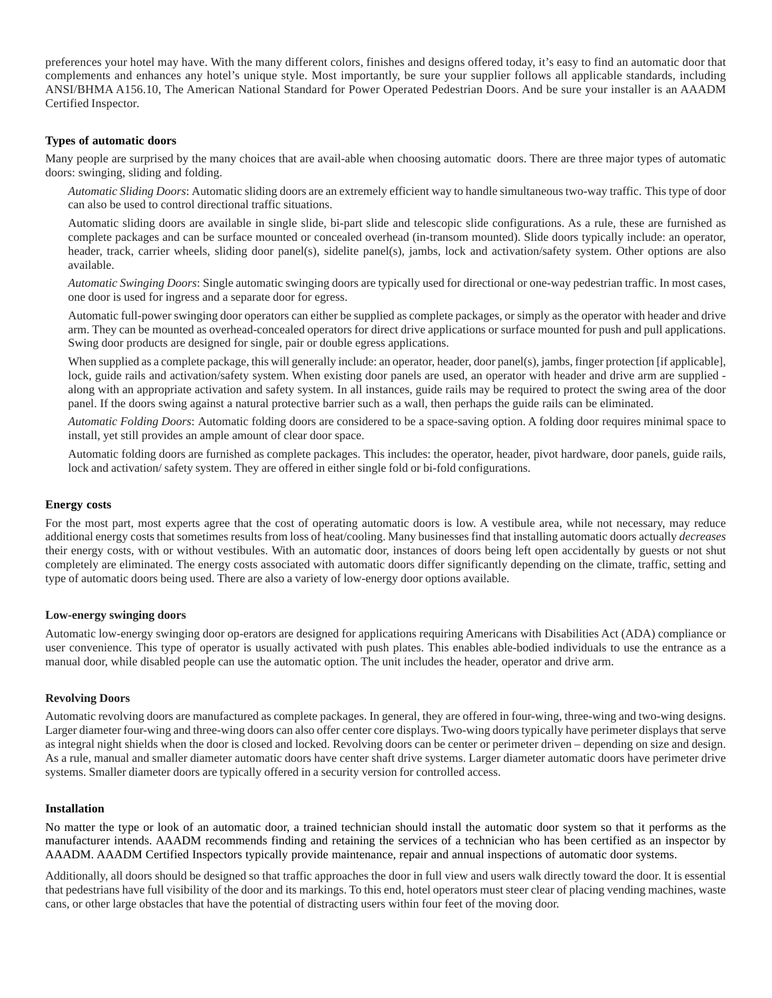preferences your hotel may have. With the many different colors, finishes and designs offered today, it's easy to find an automatic door that complements and enhances any hotel's unique style. Most importantly, be sure your supplier follows all applicable standards, including ANSI/BHMA A156.10, The American National Standard for Power Operated Pedestrian Doors. And be sure your installer is an AAADM Certified Inspector.

# **Types of automatic doors**

Many people are surprised by the many choices that are avail-able when choosing automatic doors. There are three major types of automatic doors: swinging, sliding and folding.

*Automatic Sliding Doors*: Automatic sliding doors are an extremely efficient way to handle simultaneous two-way traffic. This type of door can also be used to control directional traffic situations.

Automatic sliding doors are available in single slide, bi-part slide and telescopic slide configurations. As a rule, these are furnished as complete packages and can be surface mounted or concealed overhead (in-transom mounted). Slide doors typically include: an operator, header, track, carrier wheels, sliding door panel(s), sidelite panel(s), jambs, lock and activation/safety system. Other options are also available.

*Automatic Swinging Doors*: Single automatic swinging doors are typically used for directional or one-way pedestrian traffic. In most cases, one door is used for ingress and a separate door for egress.

Automatic full-power swinging door operators can either be supplied as complete packages, or simply as the operator with header and drive arm. They can be mounted as overhead-concealed operators for direct drive applications or surface mounted for push and pull applications. Swing door products are designed for single, pair or double egress applications.

When supplied as a complete package, this will generally include: an operator, header, door panel(s), jambs, finger protection [if applicable], lock, guide rails and activation/safety system. When existing door panels are used, an operator with header and drive arm are supplied along with an appropriate activation and safety system. In all instances, guide rails may be required to protect the swing area of the door panel. If the doors swing against a natural protective barrier such as a wall, then perhaps the guide rails can be eliminated.

*Automatic Folding Doors*: Automatic folding doors are considered to be a space-saving option. A folding door requires minimal space to install, yet still provides an ample amount of clear door space.

Automatic folding doors are furnished as complete packages. This includes: the operator, header, pivot hardware, door panels, guide rails, lock and activation/ safety system. They are offered in either single fold or bi-fold configurations.

#### **Energy costs**

For the most part, most experts agree that the cost of operating automatic doors is low. A vestibule area, while not necessary, may reduce additional energy costs that sometimes results from loss of heat/cooling. Many businesses find that installing automatic doors actually *decreases* their energy costs, with or without vestibules. With an automatic door, instances of doors being left open accidentally by guests or not shut completely are eliminated. The energy costs associated with automatic doors differ significantly depending on the climate, traffic, setting and type of automatic doors being used. There are also a variety of low-energy door options available.

#### **Low-energy swinging doors**

Automatic low-energy swinging door op-erators are designed for applications requiring Americans with Disabilities Act (ADA) compliance or user convenience. This type of operator is usually activated with push plates. This enables able-bodied individuals to use the entrance as a manual door, while disabled people can use the automatic option. The unit includes the header, operator and drive arm.

## **Revolving Doors**

Automatic revolving doors are manufactured as complete packages. In general, they are offered in four-wing, three-wing and two-wing designs. Larger diameter four-wing and three-wing doors can also offer center core displays. Two-wing doors typically have perimeter displays that serve as integral night shields when the door is closed and locked. Revolving doors can be center or perimeter driven – depending on size and design. As a rule, manual and smaller diameter automatic doors have center shaft drive systems. Larger diameter automatic doors have perimeter drive systems. Smaller diameter doors are typically offered in a security version for controlled access.

# **Installation**

No matter the type or look of an automatic door, a trained technician should install the automatic door system so that it performs as the manufacturer intends. AAADM recommends finding and retaining the services of a technician who has been certified as an inspector by AAADM. AAADM Certified Inspectors typically provide maintenance, repair and annual inspections of automatic door systems.

Additionally, all doors should be designed so that traffic approaches the door in full view and users walk directly toward the door. It is essential that pedestrians have full visibility of the door and its markings. To this end, hotel operators must steer clear of placing vending machines, waste cans, or other large obstacles that have the potential of distracting users within four feet of the moving door.